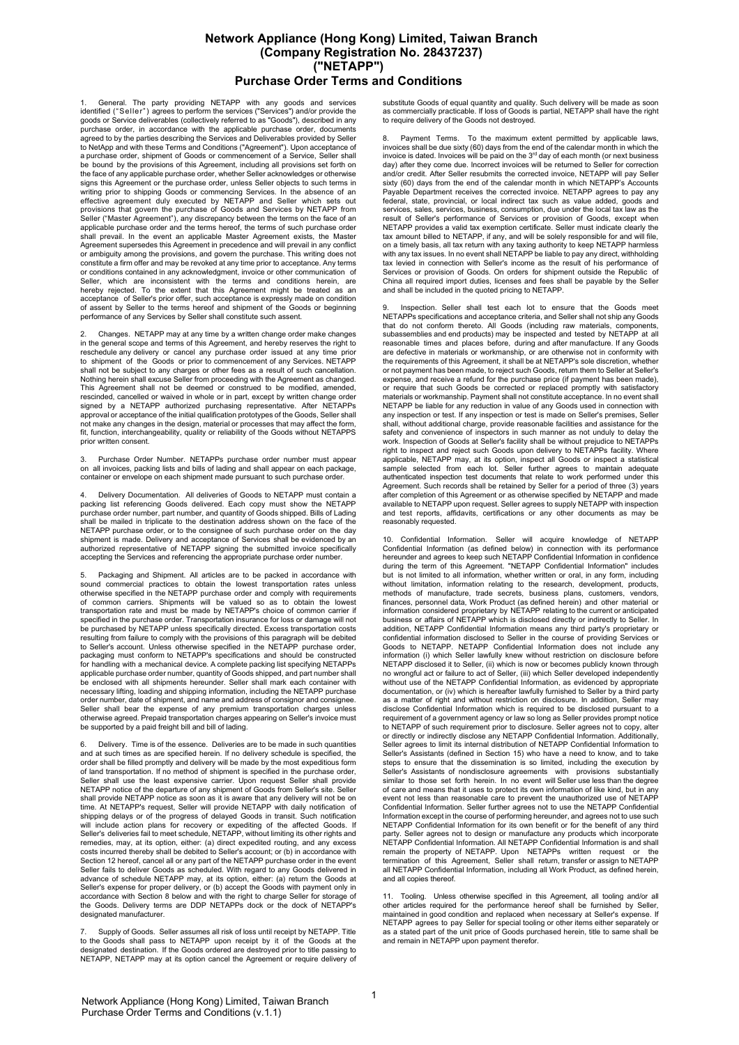## **Network Appliance (Hong Kong) Limited, Taiwan Branch (Company Registration No. 28437237) ("NETAPP") Purchase Order Terms and Conditions**

General. The party providing NETAPP with any goods and services identified ("Seller") agrees to perform the services ("Services") and/or provide the goods or Service deliverables (collectively referred to as "Goods"), described in any purchase order, in accordance with the applicable purchase order, documents agreed to by the parties describing the Services and Deliverables provided by Seller to NetApp and with these Terms and Conditions ("Agreement"). Upon acceptance of a purchase order, shipment of Goods or commencement of a Service, Seller shall be bound by the provisions of this Agreement, including all provisions set forth on the face of any applicable purchase order, whether Seller acknowledges or otherwise signs this Agreement or the purchase order, unless Seller objects to such terms in writing prior to shipping Goods or commencing Services. In the absence of an effective agreement duly executed by NETAPP and Seller which sets out provisions that govern the purchase of Goods and Services by NETAPP from Seller ("Master Agreement"), any discrepancy between the terms on the face of an applicable purchase order and the terms hereof, the terms of such purchase order shall prevail. In the event an applicable Master Agreement exists, the Master Agreement supersedes this Agreement in precedence and will prevail in any conflict or ambiguity among the provisions, and govern the purchase. This writing does not constitute a firm offer and may be revoked at any time prior to acceptance. Any terms or conditions contained in any acknowledgment, invoice or other communication of Seller, which are inconsistent with the terms and conditions herein, are hereby rejected. To the extent that this Agreement might be treated as an acceptance of Seller's prior offer, such acceptance is expressly made on condition of assent by Seller to the terms hereof and shipment of the Goods or beginning performance of any Services by Seller shall constitute such assent.

2. Changes. NETAPP may at any time by a written change order make changes in the general scope and terms of this Agreement, and hereby reserves the right to reschedule any delivery or cancel any purchase order issued at any time prior to shipment of the Goods or prior to commencement of any Services. NETAPP shall not be subject to any charges or other fees as a result of such cancellation. Nothing herein shall excuse Seller from proceeding with the Agreement as changed. This Agreement shall not be deemed or construed to be modified, amended, rescinded, cancelled or waived in whole or in part, except by written change order<br>signed by a NETAPP authorized purchasing representative. After NETAPPs<br>approval or acceptance of the initial qualification prototyp not make any changes in the design, material or processes that may affect the form, fit, function, interchangeability, quality or reliability of the Goods without NETAPPS prior written consent.

Purchase Order Number. NETAPPs purchase order number must appear on all invoices, packing lists and bills of lading and shall appear on each package, container or envelope on each shipment made pursuant to such purchase order.

Delivery Documentation. All deliveries of Goods to NETAPP must contain a packing list referencing Goods delivered. Each copy must show the NETAPP purchase order number, part number, and quantity of Goods shipped. Bills of Lading shall be mailed in triplicate to the destination address shown on the face of the NETAPP purchase order, or to the consignee of such purchase order on the day shipment is made. Delivery and acceptance of Services shall be evidenced by an authorized representative of NETAPP signing the submitted invoice specifically accepting the Services and referencing the appropriate purchase order number.

Packaging and Shipment. All articles are to be packed in accordance with sound commercial practices to obtain the lowest transportation rates unless otherwise specified in the NETAPP purchase order and comply with requirements of common carriers. Shipments will be valued so as to obtain the lowest transportation rate and must be made by NETAPP's choice of common carrier if specified in the purchase order. Transportation insurance for loss or damage will not be purchased by NETAPP unless specifically directed. Excess transportation costs resulting from failure to comply with the provisions of this paragraph will be debited to Seller's account. Unless otherwise specified in the NETAPP purchase order, packaging must conform to NETAPP's specifications and should be constructed for handling with a mechanical device. A complete packing list specifying NETAPPs applicable purchase order number, quantity of Goods shipped, and part number shall be enclosed with all shipments hereunder. Seller shall mark each container with necessary lifting, loading and shipping information, including the NETAPP purchase order number, date of shipment, and name and address of consignor and consignee. Seller shall bear the expense of any premium transportation charges unless otherwise agreed. Prepaid transportation charges appearing on Seller's invoice must be supported by a paid freight bill and bill of lading.

Delivery. Time is of the essence. Deliveries are to be made in such quantities and at such times as are specified herein. If no delivery schedule is specified, the order shall be filled promptly and delivery will be made by the most expeditious form of land transportation. If no method of shipment is specified in the purchase order, shall use the least expensive carrier. Upon request Seller shall provide NETAPP notice of the departure of any shipment of Goods from Seller's site. Seller shall provide NETAPP notice as soon as it is aware that any delivery will not be on time. At NETAPP's request, Seller will provide NETAPP with daily notification of shipping delays or of the progress of delayed Goods in transit. Such notification<br>will include action plans for recovery or expediting of the affected Goods. If<br>Seller's deliveries fail to meet schedule, NETAPP, without li remedies, may, at its option, either: (a) direct expedited routing, and any excess costs incurred thereby shall be debited to Seller's account; or (b) in accordance with Section 12 hereof, cancel all or any part of the NETAPP purchase order in the event Seller fails to deliver Goods as scheduled. With regard to any Goods delivered in advance of schedule NETAPP may, at its option, either: (a) return the Goods at Seller's expense for proper delivery, or (b) accept the Goods with payment only in accordance with Section 8 below and with the right to charge Seller for storage of the Goods. Delivery terms are DDP NETAPPs dock or the dock of NETAPP's designated manufacturer.

7. Supply of Goods. Seller assumes all risk of loss until receipt by NETAPP. Title to the Goods shall pass to NETAPP upon receipt by it of the Goods at the designated destination. If the Goods ordered are destroyed prior to title passing to NETAPP, NETAPP may at its option cancel the Agreement or require delivery of

substitute Goods of equal quantity and quality. Such delivery will be made as soon as commercially practicable. If loss of Goods is partial, NETAPP shall have the right to require delivery of the Goods not destroyed.

8. Payment Terms. To the maximum extent permitted by applicable laws, invoices shall be due sixty (60) days from the end of the calendar month in which the invoice is dated. Invoices will be paid on the  $3<sup>rd</sup>$  day of each month (or next business day) after they come due. Incorrect invoices will be returned to Seller for correction and/or credit. After Seller resubmits the corrected invoice, NETAPP will pay Seller sixty (60) days from the end of the calendar month in which NETAPP's Accounts Payable Department receives the corrected invoice. NETAPP agrees to pay any federal, state, provincial, or local indirect tax such as value added, goods and services, sales, services, business, consumption, due under the local tax law as the result of Seller's performance of Services or provision of Goods, except when NETAPP provides a valid tax exemption certificate. Seller must indicate clearly the tax amount billed to NETAPP, if any, and will be solely responsible for and will file, on a timely basis, all tax return with any taxing authority to keep NETAPP harmless with any tax issues. In no event shall NETAPP be liable to pay any direct, withholding tax levied in connection with Seller's income as the result of his performance of Services or provision of Goods. On orders for shipment outside the Republic of China all required import duties, licenses and fees shall be payable by the Seller and shall be included in the quoted pricing to NETAPP.

Inspection. Seller shall test each lot to ensure that the Goods meet NETAPPs specifications and acceptance criteria, and Seller shall not ship any Goods that do not conform thereto. All Goods (including raw materials, components, subassemblies and end products) may be inspected and tested by NETAPP at all reasonable times and places before, during and after manufacture. If any Goods are defective in materials or workmanship, or are otherwise not in conformity with the requirements of this Agreement, it shall be at NETAPP's sole discretion, whether or not payment has been made, to reject such Goods, return them to Seller at Seller's expense, and receive a refund for the purchase price (if payment has been made), or require that such Goods be corrected or replaced promptly with satisfactory materials or workmanship. Payment shall not constitute acceptance. In no event shall NETAPP be liable for any reduction in value of any Goods used in connection with any inspection or test. If any inspection or test is made on Seller's premises, Seller shall, without additional charge, provide reasonable facilities and assistance for the safety and convenience of inspectors in such manner as not unduly to delay the work. Inspection of Goods at Seller's facility shall be without prejudice to NETAPPs right to inspect and reject such Goods upon delivery to NETAPPs facility. Where applicable, NETAPP may, at its option, inspect all Goods or inspect a statistical sample selected from each lot. Seller further agrees to maintain adequate authenticated inspection test documents that relate to work performed under this Agreement. Such records shall be retained by Seller for a period of three (3) years after completion of this Agreement or as otherwise specified by NETAPP and made available to NETAPP upon request. Seller agrees to supply NETAPP with inspection and test reports, affidavits, certifications or any other documents as may be reasonably requested.

10. Confidential Information. Seller will acquire knowledge of NETAPP Confidential Information (as defined below) in connection with its performance hereunder and agrees to keep such NETAPP Confidential Information in confidence during the term of this Agreement. "NETAPP Confidential Information" includes but is not limited to all information, whether written or oral, in any form, including without limitation, information relating to the research, development, products, methods of manufacture, trade secrets, business plans, customers, vendors, finances, personnel data, Work Product (as defined herein) and other material or information considered proprietary by NETAPP relating to the current or anticipated business or affairs of NETAPP which is disclosed directly or indirectly to Seller. In addition, NETAPP Confidential Information means any third party's proprietary or confidential information disclosed to Seller in the course of providing Services or Goods to NETAPP. NETAPP Confidential Information does not include any information (i) which Seller lawfully knew without restriction on disclosure before NETAPP disclosed it to Seller, (ii) which is now or becomes publicly known through<br>no wrongful act or failure to act of Seller, (iii) which Seller developed independently<br>without use of the NETAPP Confidential Information, documentation, or (iv) which is hereafter lawfully furnished to Seller by a third party as a matter of right and without restriction on disclosure. In addition, Seller may disclose Confidential Information which is required to be disclosed pursuant to a requirement of a government agency or law so long as Seller provides prompt notice to NETAPP of such requirement prior to disclosure. Seller agrees not to copy, alter<br>or directly or indirectly disclose any NETAPP Confidential Information. Additionally,<br>Seller agrees to limit its internal distribution of Seller's Assistants (defined in Section 15) who have a need to know, and to take steps to ensure that the dissemination is so limited, including the execution by Seller's Assistants of nondisclosure agreements with provisions substantially similar to those set forth herein. In no event will Seller use less than the degree of care and means that it uses to protect its own information of like kind, but in any<br>event not less than reasonable care to prevent the unauthorized use of NETAPP<br>Confidential Information. Seller further agrees not to us Information except in the course of performing hereunder, and agrees not to use such NETAPP Confidential Information for its own benefit or for the benefit of any third party. Seller agrees not to design or manufacture any products which incorporate<br>NETAPP Confidential Information. All NETAPP Confidential Information is and shall<br>remain the property of NETAPP. Upon NETAPPs written r all NETAPP Confidential Information, including all Work Product, as defined herein, and all copies thereof.

11. Tooling. Unless otherwise specified in this Agreement, all tooling and/or all other articles required for the performance hereof shall be furnished by Seller, maintained in good condition and replaced when necessary at Seller's expense. If NETAPP agrees to pay Seller for special tooling or other items either separately or as a stated part of the unit price of Goods purchased herein, title to same shall be and remain in NETAPP upon payment therefor.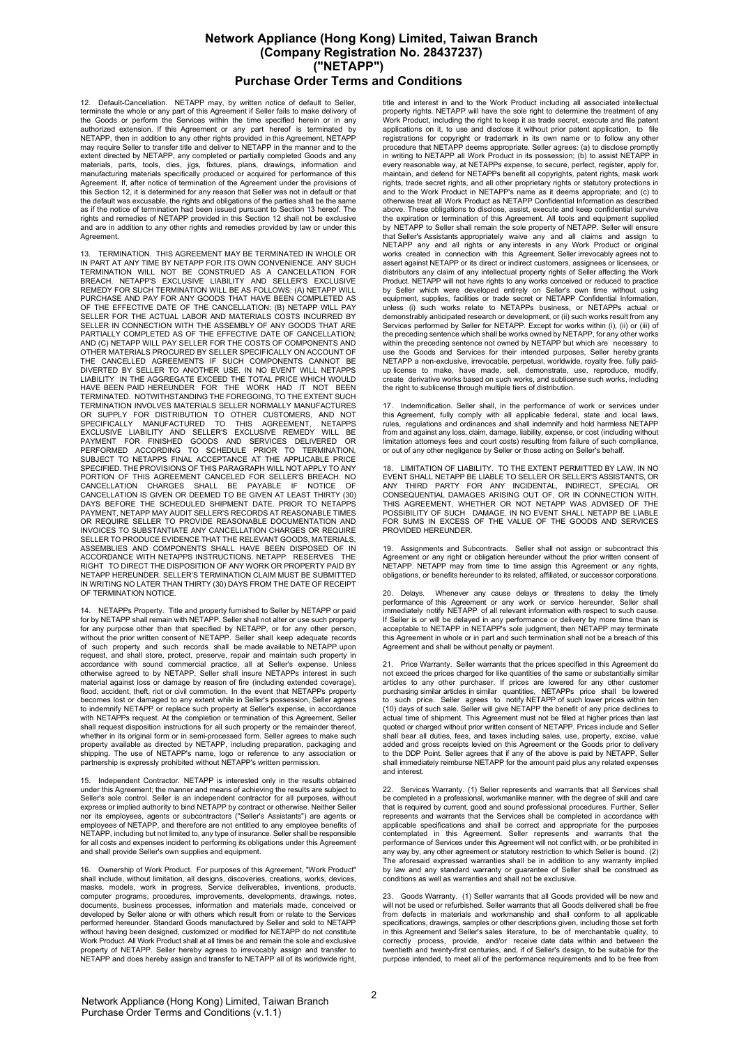## **Network Appliance (Hong Kong) Limited, Taiwan Branch (Company Registration No. 28437237) ("NETAPP") Purchase Order Terms and Conditions**

12. Default-Cancellation. NETAPP may, by written notice of default to Seller, terminate the whole or any part of this Agreement if Seller fails to make delivery of the Goods or perform the Services within the time specified herein or in any authorized extension. If this Agreement or any part hereof is terminated by NETAPP, then in addition to any other rights provided in this Agreement, NETAPP may require Seller to transfer title and deliver to NETAPP in the manner and to the extent directed by NETAPP, any completed or partially completed Goods and any<br>materials, parts, tools, dies, jigs, fixtures, plans, drawings, information and<br>manufacturing materials specifically produced or acquired for pe Agreement. If, after notice of termination of the Agreement under the provisions of this Section 12, it is determined for any reason that Seller was not in default or that the default was excusable, the rights and obligations of the parties shall be the same as if the notice of termination had been issued pursuant to Section 13 hereof. The rights and remedies of NETAPP provided in this Section 12 shall not be exclusive and are in addition to any other rights and remedies provided by law or under this Agreement.

13. TERMINATION. THIS AGREEMENT MAY BE TERMINATED IN WHOLE OR IN PART AT ANY TIME BY NETAPP FOR ITS OWN CONVENIENCE. ANY SUCH<br>TERMINATION WILL NOT BE CONSTRUED AS A CANCELLATION FOR<br>BREACH. NETAPP'S EXCLUSIVE LIABILITY AND SELLER'S EXCLUSIVE<br>REMEDY FOR SUCH TERMINATION WILL BE AS FOL PURCHASE AND PAY FOR ANY GOODS THAT HAVE BEEN COMPLETED AS<br>OF THE EFFECTIVE DATE OF THE CANCELLATION; (B) NETAPP WILL PAY<br>SELLER FOR THE ACTUAL LABOR AND MATERIALS COSTS INCURRED BY<br>SELLER IN CONNECTION WITH THE ASSEMBLY O AND (C) NETAPP WILL PAY SELLER FOR THE COSTS OF COMPONENTS AND<br>OTHER MATERIALS PROCURED BY SELLER SPECIFICALLY ON ACCOUNT OF<br>THE CANCELLED AGREEMENTS IF SUCH COMPONENTS CANNOT BE<br>DIVERTED BY SELLER TO ANOTHER USE. IN NO EV LIABILITY IN THE AGGREGATE EXCEED THE TOTAL PRICE WHICH WOULD HAVE BEEN PAID HEREUNDER FOR THE WORK HAD IT NOT BEEN TERMINATED. NOTWITHSTANDING THE FOREGOING, TO THE EXTENT SUCH TERMINATION INVOLVES MATERIALS SELLER NORMALLY MANUFACTURES<br>OR SUPPLY FOR DISTRIBUTION TO OTHER CUSTOMERS, AND NOT<br>SPECIFICALLY MANUFACTURED TO THIS AGREEMENT, NETAPPS<br>EXCLUSIVE LIABILITY AND SELLER'S EXCLUSIVE REMEDY WILL PORTION OF THIS AGREEMENT CANCELED FOR SELLER'S BREACH. NO CANCELLATION CHARGES SHALL BE PAYABLE IF NOTICE OF CANCELLATION IS GIVEN OR DEEMED TO BE GIVEN AT LEAST THIRTY (30) DAYS BEFORE THE SCHEDULED SHIPMENT DATE. PRIOR TO NETAPPS PAYMENT, NETAPP MAY AUDIT SELLER'S RECORDS AT REASONABLE TIMES OR REQUIRE SELLER TO PROVIDE REASONABLE DOCUMENTATION AND INVOICES TO SUBSTANTIATE ANY CANCELLATION CHARGES OR REQUIRE SELLER TO PRODUCE EVIDENCE THAT THE RELEVANT GOODS, MATERIALS, ASSEMBLIES AND COMPONENTS SHALL HAVE BEEN DISPOSED OF IN ACCORDANCE WITH NETAPPS INSTRUCTIONS. NETAPP RESERVES THE<br>RIGHT TO DIRECT THE DISPOSITION OF ANY WORK OR PROPERTY PAID BY<br>NETAPP HEREUNDER. SELLER'S TERMINATION CLAIM MUST BE SUBMITTED IN WRITING NO LATER THAN THIRTY (30) DAYS FROM THE DATE OF RECEIPT OF TERMINATION NOTICE.

14. NETAPPs Property. Title and property furnished to Seller by NETAPP or paid for by NETAPP shall remain with NETAPP. Seller shall not alter or use such property for any purpose other than that specified by NETAPP, or for any other person, without the prior written consent of NETAPP. Seller shall keep adequate records of such property and such records shall be made available to NETAPP upon request, and shall store, protect, preserve, repair and maintain such property in accordance with sound commercial practice, all at Seller's expense. Unless<br>otherwise agreed to by NETAPP, Seller shall insure NETAPPs interest in such<br>material against loss or damage by reason of fire (including extended c flood, accident, theft, riot or civil commotion. In the event that NETAPPs property becomes lost or damaged to any extent while in Seller's possession, Seller agrees to indemnify NETAPP or replace such property at Seller's expense, in accordance with NETAPPs request. At the completion or termination of this Agreement, Seller shall request disposition instructions for all such property or the remainder thereof, whether in its original form or in semi-processed form. Seller agrees to make such property available as directed by NETAPP, including preparation, packaging and<br>shipping. The use of NETAPP's name, logo or reference to any association or<br>partnership is expressly prohibited without NETAPP's written permis

15. Independent Contractor. NETAPP is interested only in the results obtained under this Agreement; the manner and means of achieving the results are subject to<br>Seller's sole control. Seller is an independent contractor for all purposes, without<br>express or implied authority to bind NETAPP by contrac employees of NETAPP, and therefore are not entitled to any employee benefits of NETAPP, including but not limited to, any type of insurance. Seller shall be responsible for all costs and expenses incident to performing its obligations under this Agreement and shall provide Seller's own supplies and equipment.

16. Ownership of Work Product. For purposes of this Agreement, "Work Product" shall include, without limitation, all designs, discoveries, creations, works, devices, masks, models, work in progress, Service deliverables, inventions, products, computer programs, procedures, improvements, developments, drawings, notes documents, business processes, information and materials made, conceived or developed by Seller alone or with others which result from or relate to the Services performed hereunder. Standard Goods manufactured by Seller and sold to NETAPP without having been designed, customized or modified for NETAPP do not constitute Work Product. All Work Product shall at all times be and remain the sole and exclusive property of NETAPP. Seller hereby agrees to irrevocably assign and transfer to NETAPP and does hereby assign and transfer to NETAPP all of its worldwide right,

title and interest in and to the Work Product including all associated intellectual property rights. NETAPP will have the sole right to determine the treatment of any Work Product, including the right to keep it as trade secret, execute and file patent applications on it, to use and disclose it without prior patent application, to file registrations for copyright or trademark in its own name or to follow any other procedure that NETAPP deems appropriate. Seller agrees: (a) to disclose promptly in writing to NETAPP all Work Product in its possession; (b) to assist NETAPP in every reasonable way, at NETAPPs expense, to secure, perfect, register, apply for, maintain, and defend for NETAPPs benefit all copyrights, patent rights, mask work rights, trade secret rights, and all other proprietary rights or statutory protections in and to the Work Product in NETAPP's name as it deems appropriate; and (c) to otherwise treat all Work Product as NETAPP Confidential Information as described above. These obligations to disclose, assist, execute and keep confidential survive the expiration or termination of this Agreement. All tools and equipment supplied by NETAPP to Seller shall remain the sole property of NETAPP. Seller will ensure that Seller's Assistants appropriately waive any and all claims and assign to NETAPP any and all rights or any interests in any Work Product or original works created in connection with this Agreement. Seller irrevocably agrees not to assert against NETAPP or its direct or indirect customers, assignees or licensees, or<br>distributors any claim of any intellectual property rights of Seller affecting the Work Product. NETAPP will not have rights to any works conceived or reduced to practice by Seller which were developed entirely on Seller's own time without using equipment, supplies, facilities or trade secret or NETAPP Confidential Information, unless (i) such works relate to NETAPPs business, or NETAPPs actual or demonstrably anticipated research or development, or (ii) such works result from any<br>Services performed by Seller for NETAPP. Except for works within (i), (ii) or (iii) of<br>the preceding sentence which shall be works owned within the preceding sentence not owned by NETAPP but which are \_necessary\_ to<br>use\_the\_Goods\_and\_Services\_for\_their\_intended\_purposes,\_Seller\_hereby grants<br>NETAPP a non-exclusive, irrevocable, perpetual, worldwide, royalty up license to make, have made, sell, demonstrate, use, reproduce, modify, create derivative works based on such works, and sublicense such works, including the right to sublicense through multiple tiers of distribution.

17. Indemnification. Seller shall, in the performance of work or services under<br>this Agreement, fully comply with all applicable federal, state and local laws,<br>rules, regulations and ordinances and shall indemnify and hold from and against any loss, claim, damage, liability, expense, or cost (including without limitation attorneys fees and court costs) resulting from failure of such compliance, or out of any other negligence by Seller or those acting on Seller's behalf.

18. LIMITATION OF LIABILITY. TO THE EXTENT PERMITTED BY LAW, IN NO<br>EVENT SHALL NETAPP BE LIABLE TO SELLER OR SELLER'S ASSISTANTS, OR<br>ANY THIRD PARTY FOR ANY INCIDENTAL, INDIRECT, SPECIAL OR<br>CONSEQUENTIAL DAMAGES ARISING OU FOR SUMS IN EXCESS OF THE VALUE OF THE GOODS AND SERVICES PROVIDED HEREUNDER.

19. Assignments and Subcontracts. Seller shall not assign or subcontract this Agreement or any right or obligation hereunder without the prior written consent of NETAPP. NETAPP may from time to time assign this Agreement or any rights, obligations, or benefits hereunder to its related, affiliated, or successor corporations.

20. Delays. Whenever any cause delays or threatens to delay the timely performance of this Agreement or any work or service hereunder, Seller shall immediately notify NETAPP of all relevant information with respect to such cause. If Seller is or will be delayed in any performance or delivery by more time than is acceptable to NETAPP in NETAPP's sole judgment, then NETAPP may terminate this Agreement in whole or in part and such termination shall not be a breach of this Agreement and shall be without penalty or payment.

21. Price Warranty. Seller warrants that the prices specified in this Agreement do not exceed the prices charged for like quantities of the same or substantially similar articles to any other purchaser. If prices are lowered for any other customer purchasing similar articles in similar quantities, NETAPPs price shall be lowered to such price. Seller agrees to notify NETAPP of such lower prices within ten (10) days of such sale. Seller will give NETAPP the benefit of any price declines to actual time of shipment. This Agreement must not be filled at higher prices than last quoted or charged without prior written consent of NETAPP. Prices include and Seller shall bear all duties, fees, and taxes including sales, use, property, excise, value<br>added and gross receipts levied on this Agreement or the Goods prior to delivery<br>to the DDP Point. Seller agrees that if any of the above and interest.

22. Services Warranty. (1) Seller represents and warrants that all Services shall be completed in a professional, workmanlike manner, with the degree of skill and care that is required by current, good and sound professional procedures. Further, Seller represents and warrants that the Services shall be completed in accordance with applicable specifications and shall be correct and appropriate for the purposes contemplated in this Agreement. Seller represents and warrants that the performance of Services under this Agreement will not conflict with, or be prohibited in any way by, any other agreement or statutory restriction to which Seller is bound. (2) The aforesaid expressed warranties shall be in addition to any warranty implied by law and any standard warranty or guarantee of Seller shall be construed as conditions as well as warranties and shall not be exclusive.

23. Goods Warranty. (1) Seller warrants that all Goods provided will be new and will not be used or refurbished. Seller warrants that all Goods delivered shall be free from defects in materials and workmanship and shall conform to all applicable specifications, drawings, samples or other descriptions given, including those set forth in this Agreement and Seller's sales literature, to be of merchantable quality, to correctly process, provide, and/or receive date data within and between the twentieth and twenty-first centuries, and, if of Seller's design, to be suitable for the purpose intended, to meet all of the performance requirements and to be free from